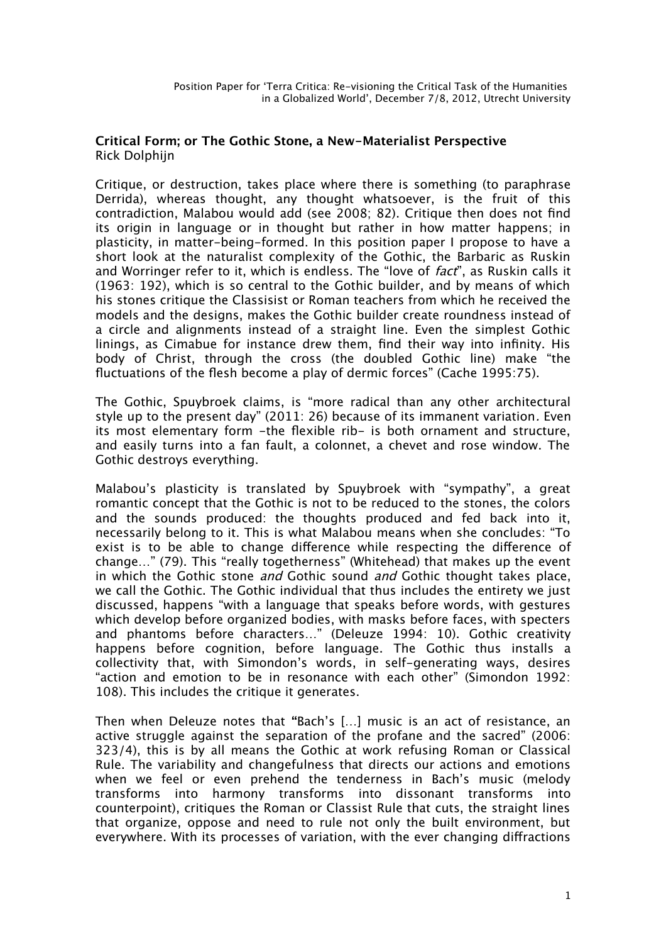## **Critical Form; or The Gothic Stone, a New-Materialist Perspective** Rick Dolphijn

Critique, or destruction, takes place where there is something (to paraphrase Derrida), whereas thought, any thought whatsoever, is the fruit of this contradiction, Malabou would add (see 2008; 82). Critique then does not fnd its origin in language or in thought but rather in how matter happens; in plasticity, in matter-being-formed. In this position paper I propose to have a short look at the naturalist complexity of the Gothic, the Barbaric as Ruskin and Worringer refer to it, which is endless. The "love of *fact*", as Ruskin calls it (1963: 192), which is so central to the Gothic builder, and by means of which his stones critique the Classisist or Roman teachers from which he received the models and the designs, makes the Gothic builder create roundness instead of a circle and alignments instead of a straight line. Even the simplest Gothic linings, as Cimabue for instance drew them, fnd their way into infnity. His body of Christ, through the cross (the doubled Gothic line) make "the fluctuations of the flesh become a play of dermic forces" (Cache 1995:75).

The Gothic, Spuybroek claims, is "more radical than any other architectural style up to the present day" (2011: 26) because of its immanent variation. Even its most elementary form -the flexible rib- is both ornament and structure, and easily turns into a fan fault, a colonnet, a chevet and rose window. The Gothic destroys everything.

Malabou's plasticity is translated by Spuybroek with "sympathy", a great romantic concept that the Gothic is not to be reduced to the stones, the colors and the sounds produced: the thoughts produced and fed back into it, necessarily belong to it. This is what Malabou means when she concludes: "To exist is to be able to change diference while respecting the diference of change…" (79). This "really togetherness" (Whitehead) that makes up the event in which the Gothic stone *and* Gothic sound *and* Gothic thought takes place, we call the Gothic. The Gothic individual that thus includes the entirety we just discussed, happens "with a language that speaks before words, with gestures which develop before organized bodies, with masks before faces, with specters and phantoms before characters…" (Deleuze 1994: 10). Gothic creativity happens before cognition, before language. The Gothic thus installs a collectivity that, with Simondon's words, in self-generating ways, desires "action and emotion to be in resonance with each other" (Simondon 1992: 108). This includes the critique it generates.

Then when Deleuze notes that **"**Bach's […] music is an act of resistance, an active struggle against the separation of the profane and the sacred" (2006: 323/4), this is by all means the Gothic at work refusing Roman or Classical Rule. The variability and changefulness that directs our actions and emotions when we feel or even prehend the tenderness in Bach's music (melody transforms into harmony transforms into dissonant transforms into counterpoint), critiques the Roman or Classist Rule that cuts, the straight lines that organize, oppose and need to rule not only the built environment, but everywhere. With its processes of variation, with the ever changing difractions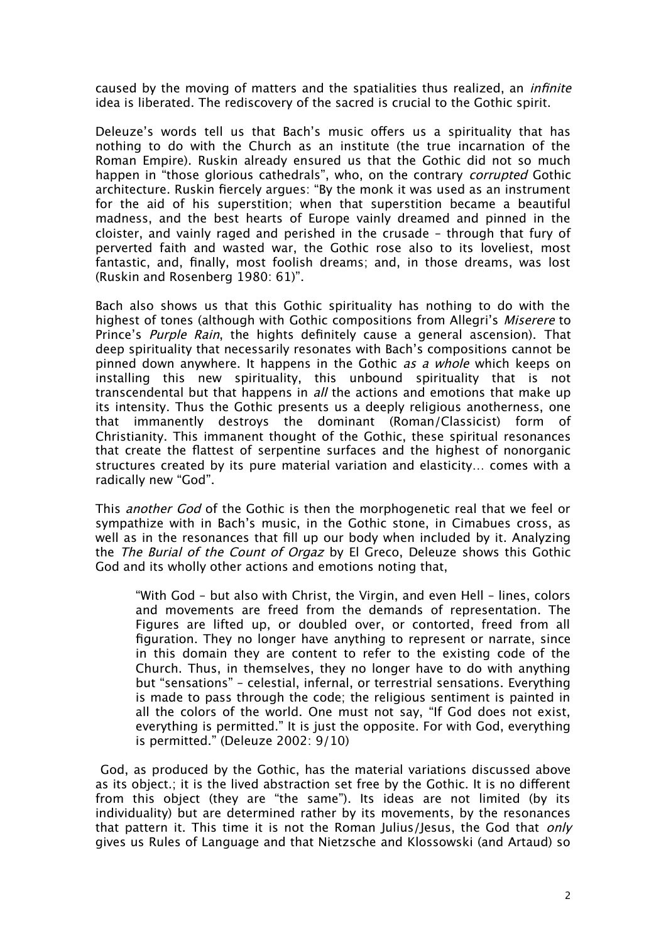caused by the moving of matters and the spatialities thus realized, an *infinite* idea is liberated. The rediscovery of the sacred is crucial to the Gothic spirit.

Deleuze's words tell us that Bach's music offers us a spirituality that has nothing to do with the Church as an institute (the true incarnation of the Roman Empire). Ruskin already ensured us that the Gothic did not so much happen in "those glorious cathedrals", who, on the contrary corrupted Gothic architecture. Ruskin fercely argues: "By the monk it was used as an instrument for the aid of his superstition; when that superstition became a beautiful madness, and the best hearts of Europe vainly dreamed and pinned in the cloister, and vainly raged and perished in the crusade – through that fury of perverted faith and wasted war, the Gothic rose also to its loveliest, most fantastic, and, fnally, most foolish dreams; and, in those dreams, was lost (Ruskin and Rosenberg 1980: 61)".

Bach also shows us that this Gothic spirituality has nothing to do with the highest of tones (although with Gothic compositions from Allegri's Miserere to Prince's Purple Rain, the hights definitely cause a general ascension). That deep spirituality that necessarily resonates with Bach's compositions cannot be pinned down anywhere. It happens in the Gothic *as a whole* which keeps on installing this new spirituality, this unbound spirituality that is not transcendental but that happens in *all* the actions and emotions that make up its intensity. Thus the Gothic presents us a deeply religious anotherness, one that immanently destroys the dominant (Roman/Classicist) form of Christianity. This immanent thought of the Gothic, these spiritual resonances that create the flattest of serpentine surfaces and the highest of nonorganic structures created by its pure material variation and elasticity… comes with a radically new "God".

This *another God* of the Gothic is then the morphogenetic real that we feel or sympathize with in Bach's music, in the Gothic stone, in Cimabues cross, as well as in the resonances that fill up our body when included by it. Analyzing the The Burial of the Count of Orgaz by El Greco, Deleuze shows this Gothic God and its wholly other actions and emotions noting that,

"With God – but also with Christ, the Virgin, and even Hell – lines, colors and movements are freed from the demands of representation. The Figures are lifted up, or doubled over, or contorted, freed from all fguration. They no longer have anything to represent or narrate, since in this domain they are content to refer to the existing code of the Church. Thus, in themselves, they no longer have to do with anything but "sensations" – celestial, infernal, or terrestrial sensations. Everything is made to pass through the code; the religious sentiment is painted in all the colors of the world. One must not say, "If God does not exist, everything is permitted." It is just the opposite. For with God, everything is permitted." (Deleuze 2002: 9/10)

 God, as produced by the Gothic, has the material variations discussed above as its object.; it is the lived abstraction set free by the Gothic. It is no diferent from this object (they are "the same"). Its ideas are not limited (by its individuality) but are determined rather by its movements, by the resonances that pattern it. This time it is not the Roman Julius/Jesus, the God that *only* gives us Rules of Language and that Nietzsche and Klossowski (and Artaud) so